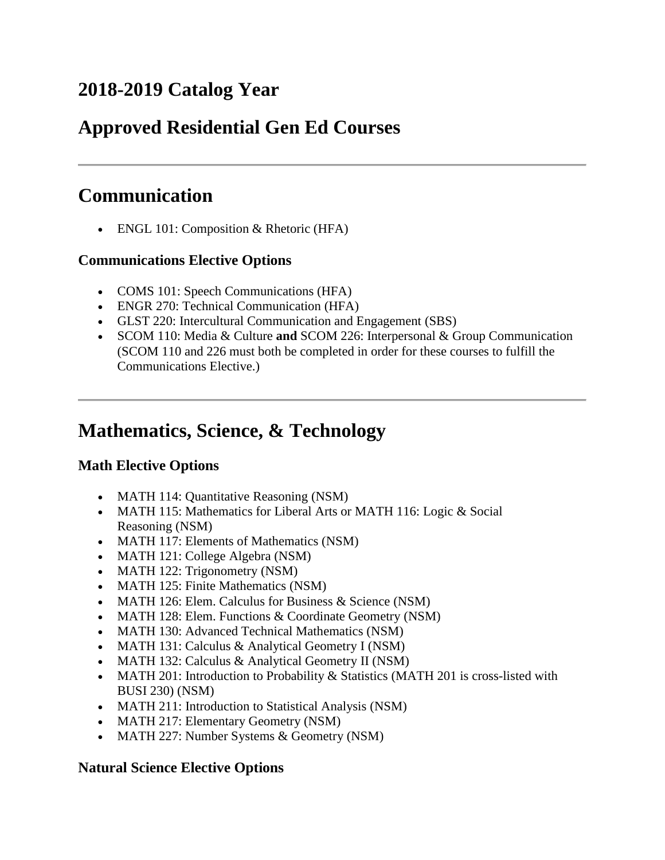## **2018-2019 Catalog Year**

# **Approved Residential Gen Ed Courses**

# **Communication**

• ENGL 101: Composition & Rhetoric (HFA)

### **Communications Elective Options**

- COMS 101: Speech Communications (HFA)
- ENGR 270: Technical Communication (HFA)
- GLST 220: Intercultural Communication and Engagement (SBS)
- SCOM 110: Media & Culture **and** SCOM 226: Interpersonal & Group Communication (SCOM 110 and 226 must both be completed in order for these courses to fulfill the Communications Elective.)

# **Mathematics, Science, & Technology**

## **Math Elective Options**

- MATH 114: Quantitative Reasoning (NSM)
- MATH 115: Mathematics for Liberal Arts or MATH 116: Logic & Social Reasoning (NSM)
- MATH 117: Elements of Mathematics (NSM)
- MATH 121: College Algebra (NSM)
- MATH 122: Trigonometry (NSM)
- MATH 125: Finite Mathematics (NSM)
- MATH 126: Elem. Calculus for Business  $&$  Science (NSM)
- MATH 128: Elem. Functions & Coordinate Geometry (NSM)
- MATH 130: Advanced Technical Mathematics (NSM)
- MATH 131: Calculus & Analytical Geometry I (NSM)
- MATH 132: Calculus & Analytical Geometry II (NSM)
- MATH 201: Introduction to Probability & Statistics (MATH 201 is cross-listed with BUSI 230) (NSM)
- MATH 211: Introduction to Statistical Analysis (NSM)
- MATH 217: Elementary Geometry (NSM)
- MATH 227: Number Systems & Geometry (NSM)

#### **Natural Science Elective Options**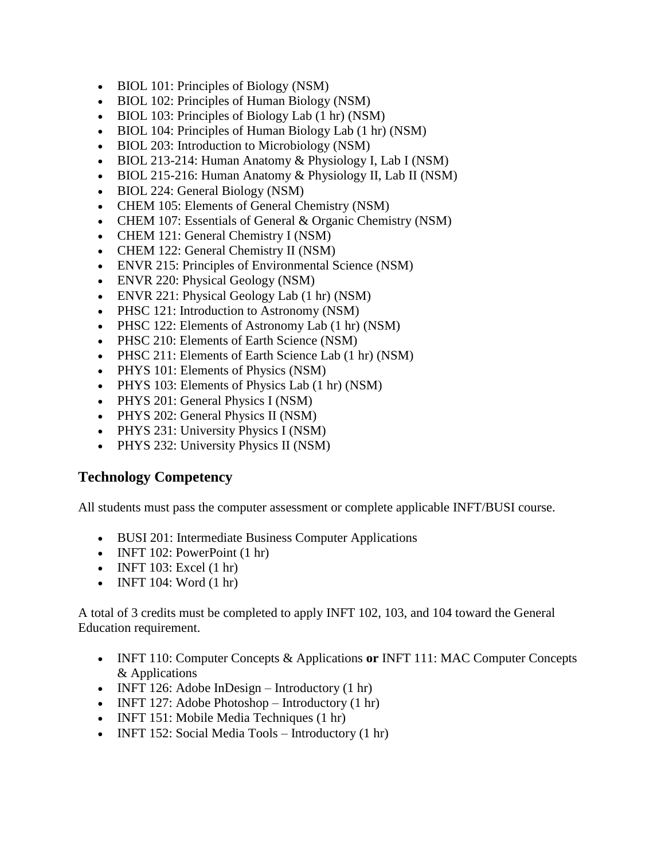- BIOL 101: Principles of Biology (NSM)
- BIOL 102: Principles of Human Biology (NSM)
- BIOL 103: Principles of Biology Lab (1 hr) (NSM)
- BIOL 104: Principles of Human Biology Lab (1 hr) (NSM)
- BIOL 203: Introduction to Microbiology (NSM)
- BIOL 213-214: Human Anatomy & Physiology I, Lab I (NSM)
- $\bullet$  BIOL 215-216: Human Anatomy & Physiology II, Lab II (NSM)
- BIOL 224: General Biology (NSM)
- CHEM 105: Elements of General Chemistry (NSM)
- CHEM 107: Essentials of General & Organic Chemistry (NSM)
- CHEM 121: General Chemistry I (NSM)
- CHEM 122: General Chemistry II (NSM)
- ENVR 215: Principles of Environmental Science (NSM)
- ENVR 220: Physical Geology (NSM)
- ENVR 221: Physical Geology Lab (1 hr) (NSM)
- PHSC 121: Introduction to Astronomy (NSM)
- PHSC 122: Elements of Astronomy Lab (1 hr) (NSM)
- PHSC 210: Elements of Earth Science (NSM)
- PHSC 211: Elements of Earth Science Lab (1 hr) (NSM)
- PHYS 101: Elements of Physics (NSM)
- PHYS 103: Elements of Physics Lab (1 hr) (NSM)
- PHYS 201: General Physics I (NSM)
- PHYS 202: General Physics II (NSM)
- PHYS 231: University Physics I (NSM)
- PHYS 232: University Physics II (NSM)

#### **Technology Competency**

All students must pass the computer assessment or complete applicable INFT/BUSI course.

- BUSI 201: Intermediate Business Computer Applications
- $\bullet$  INFT 102: PowerPoint (1 hr)
- $\bullet$  INFT 103: Excel (1 hr)
- $\bullet$  INFT 104: Word  $(1 \text{ hr})$

A total of 3 credits must be completed to apply INFT 102, 103, and 104 toward the General Education requirement.

- INFT 110: Computer Concepts & Applications **or** INFT 111: MAC Computer Concepts & Applications
- INFT 126: Adobe InDesign Introductory  $(1 \text{ hr})$
- INFT 127: Adobe Photoshop Introductory  $(1 \text{ hr})$
- INFT 151: Mobile Media Techniques (1 hr)
- INFT 152: Social Media Tools Introductory (1 hr)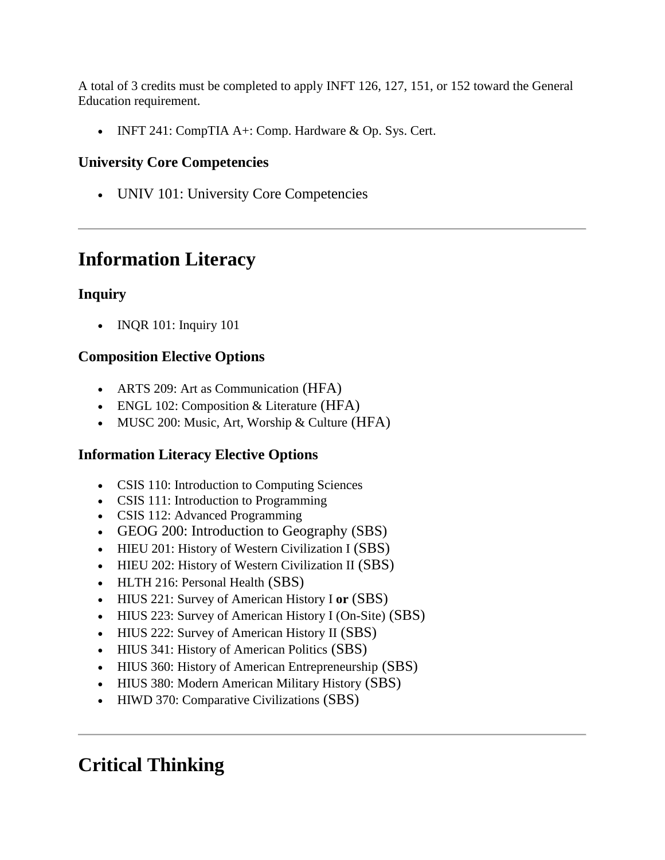A total of 3 credits must be completed to apply INFT 126, 127, 151, or 152 toward the General Education requirement.

• INFT 241: CompTIA  $A+$ : Comp. Hardware & Op. Sys. Cert.

## **University Core Competencies**

UNIV 101: University Core Competencies

# **Information Literacy**

## **Inquiry**

• INQR 101: Inquiry 101

## **Composition Elective Options**

- ARTS 209: Art as Communication (HFA)
- ENGL 102: Composition & Literature (HFA)
- MUSC 200: Music, Art, Worship & Culture (HFA)

## **Information Literacy Elective Options**

- CSIS 110: Introduction to Computing Sciences
- CSIS 111: Introduction to Programming
- CSIS 112: Advanced Programming
- GEOG 200: Introduction to Geography (SBS)
- HIEU 201: History of Western Civilization I (SBS)
- HIEU 202: History of Western Civilization II (SBS)
- HLTH 216: Personal Health (SBS)
- HIUS 221: Survey of American History I **or** (SBS)
- HIUS 223: Survey of American History I (On-Site) (SBS)
- HIUS 222: Survey of American History II (SBS)
- HIUS 341: History of American Politics (SBS)
- HIUS 360: History of American Entrepreneurship (SBS)
- HIUS 380: Modern American Military History (SBS)
- HIWD 370: Comparative Civilizations (SBS)

# **Critical Thinking**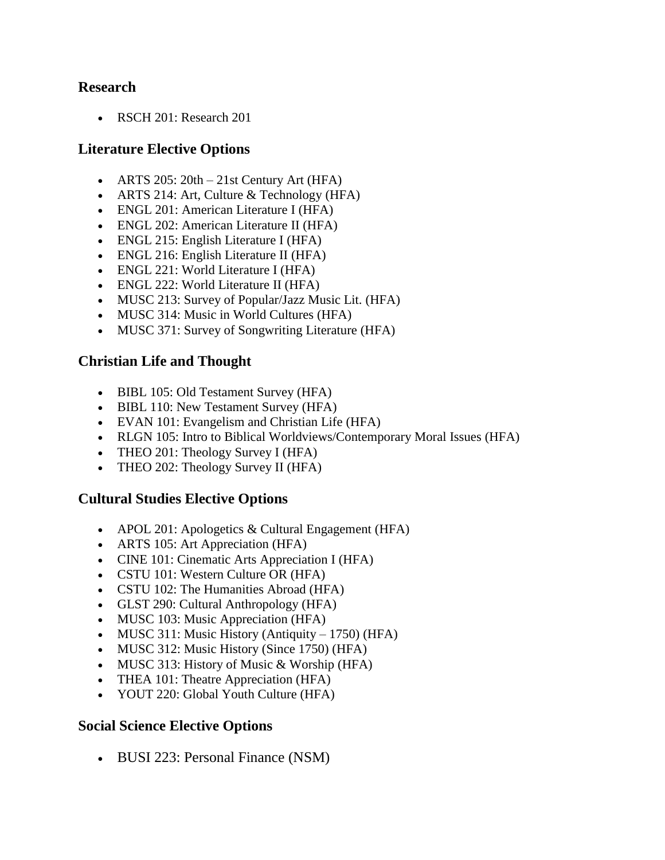#### **Research**

• RSCH 201: Research 201

#### **Literature Elective Options**

- ARTS  $205: 20th 21st$  Century Art (HFA)
- ARTS 214: Art, Culture & Technology (HFA)
- ENGL 201: American Literature I (HFA)
- ENGL 202: American Literature II (HFA)
- ENGL 215: English Literature I (HFA)
- ENGL 216: English Literature II (HFA)
- ENGL 221: World Literature I (HFA)
- ENGL 222: World Literature II (HFA)
- MUSC 213: Survey of Popular/Jazz Music Lit. (HFA)
- MUSC 314: Music in World Cultures (HFA)
- MUSC 371: Survey of Songwriting Literature (HFA)

#### **Christian Life and Thought**

- BIBL 105: Old Testament Survey (HFA)
- BIBL 110: New Testament Survey (HFA)
- EVAN 101: Evangelism and Christian Life (HFA)
- RLGN 105: Intro to Biblical Worldviews/Contemporary Moral Issues (HFA)
- THEO 201: Theology Survey I (HFA)
- THEO 202: Theology Survey II (HFA)

#### **Cultural Studies Elective Options**

- APOL 201: Apologetics  $&$  Cultural Engagement (HFA)
- ARTS 105: Art Appreciation (HFA)
- CINE 101: Cinematic Arts Appreciation I (HFA)
- CSTU 101: Western Culture OR (HFA)
- CSTU 102: The Humanities Abroad (HFA)
- GLST 290: Cultural Anthropology (HFA)
- MUSC 103: Music Appreciation (HFA)
- MUSC 311: Music History (Antiquity 1750) (HFA)
- MUSC 312: Music History (Since 1750) (HFA)
- MUSC 313: History of Music  $&$  Worship (HFA)
- THEA 101: Theatre Appreciation (HFA)
- YOUT 220: Global Youth Culture (HFA)

#### **Social Science Elective Options**

• BUSI 223: Personal Finance (NSM)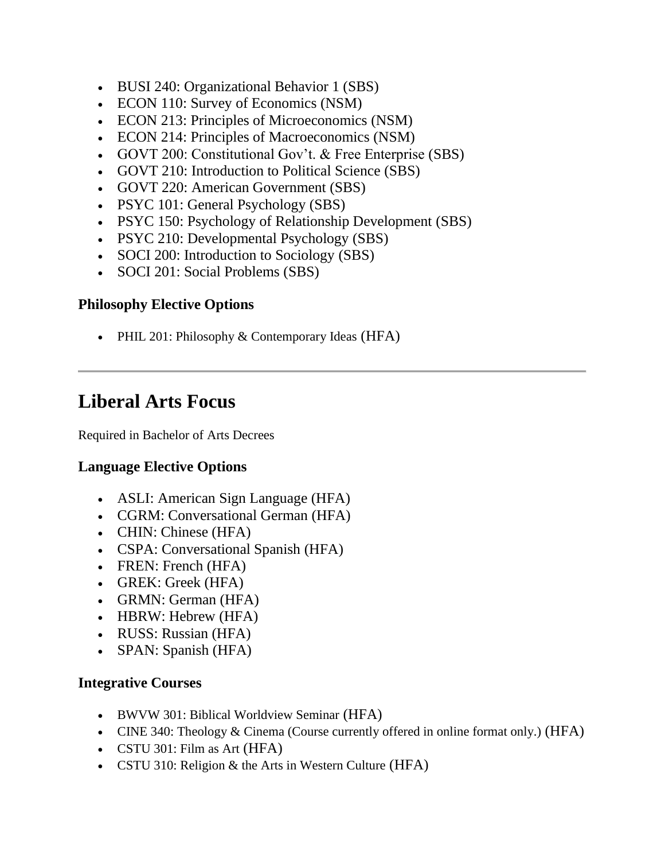- BUSI 240: Organizational Behavior 1 (SBS)
- ECON 110: Survey of Economics (NSM)
- ECON 213: Principles of Microeconomics (NSM)
- ECON 214: Principles of Macroeconomics (NSM)
- GOVT 200: Constitutional Gov't. & Free Enterprise (SBS)
- GOVT 210: Introduction to Political Science (SBS)
- GOVT 220: American Government (SBS)
- PSYC 101: General Psychology (SBS)
- PSYC 150: Psychology of Relationship Development (SBS)
- PSYC 210: Developmental Psychology (SBS)
- SOCI 200: Introduction to Sociology (SBS)
- SOCI 201: Social Problems (SBS)

### **Philosophy Elective Options**

• PHIL 201: Philosophy & Contemporary Ideas (HFA)

## **Liberal Arts Focus**

Required in Bachelor of Arts Decrees

## **Language Elective Options**

- ASLI: American Sign Language (HFA)
- CGRM: Conversational German (HFA)
- CHIN: Chinese (HFA)
- CSPA: Conversational Spanish (HFA)
- FREN: French (HFA)
- GREK: Greek (HFA)
- GRMN: German (HFA)
- HBRW: Hebrew (HFA)
- RUSS: Russian (HFA)
- SPAN: Spanish (HFA)

#### **Integrative Courses**

- BWVW 301: Biblical Worldview Seminar (HFA)
- CINE 340: Theology  $&$  Cinema (Course currently offered in online format only.) (HFA)
- CSTU 301: Film as Art (HFA)
- CSTU 310: Religion & the Arts in Western Culture (HFA)